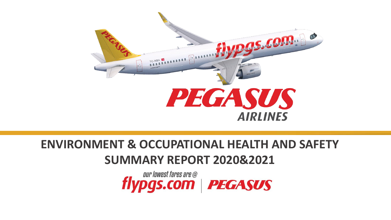

## **ENVIRONMENT & OCCUPATIONAL HEALTH AND SAFETY SUMMARY REPORT 2020&2021**

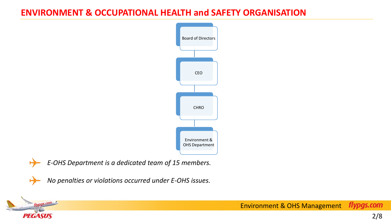#### **ENVIRONMENT & OCCUPATIONAL HEALTH and SAFETY ORGANISATION**





₩

**PEGASUS** 

 $\cos \theta$ 

*E-OHS Department is a dedicated team of 15 members.*

*No penalties or violations occurred under E-OHS issues.*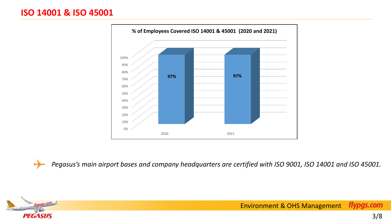

*Pegasus's main airport bases and company headquarters are certified with ISO 9001, ISO 14001 and ISO 45001.*



H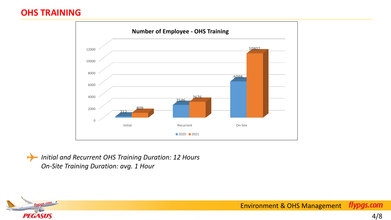### **OHS TRAINING**



*Initial and Recurrent OHS Training Duration: 12 Hours On-Site Training Duration: avg. 1 Hour* 

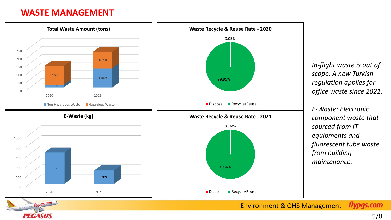#### **WASTE MANAGEMENT**

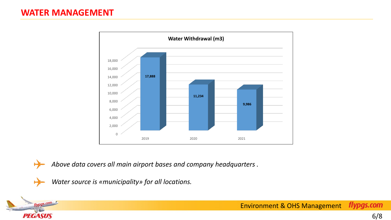**PEGASUS** 



*Above data covers all main airport bases and company headquarters .*

*Water source is «municipality» for all locations.*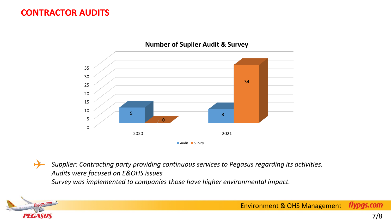

#### **Number of Suplier Audit & Survey**



*Supplier: Contracting party providing continuous services to Pegasus regarding its activities. Audits were focused on E&OHS issues Survey was implemented to companies those have higher environmental impact.*

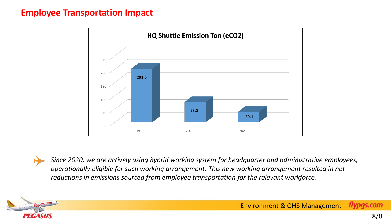#### **Employee Transportation Impact**



*Since 2020, we are actively using hybrid working system for headquarter and administrative employees, operationally eligible for such working arrangement. This new working arrangement resulted in net reductions in emissions sourced from employee transportation for the relevant workforce.*